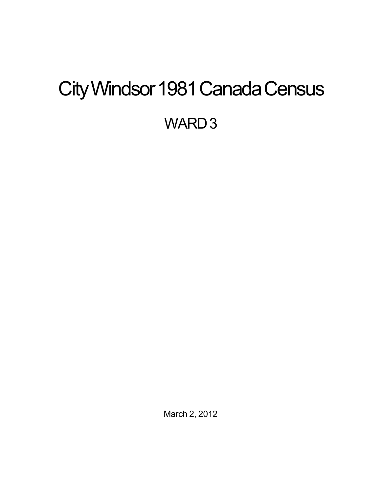# <span id="page-0-0"></span>City Windsor 1981 Canada Census WARD<sub>3</sub>

March 2, 2012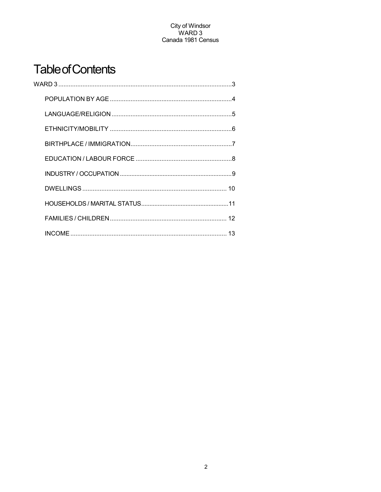## **Table of Contents**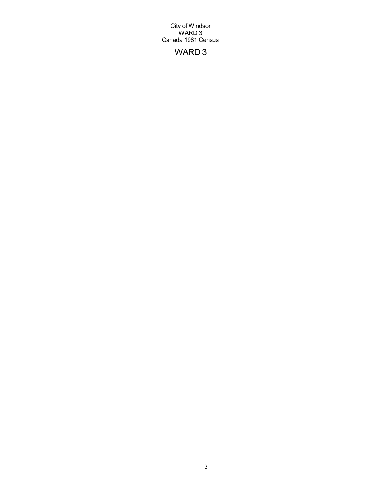## WARD 3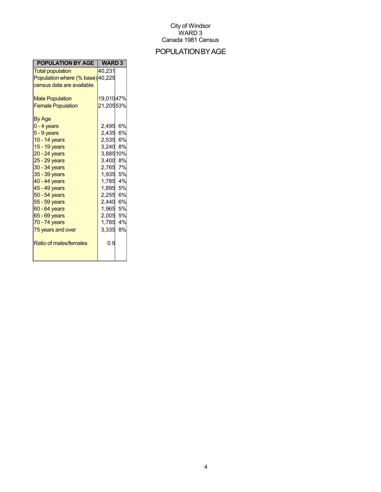## POPULATIONBYAGE

| POPULATION BY AGE                                                                                                                                                            | WARD <sub>3</sub>                                                                                                          |
|------------------------------------------------------------------------------------------------------------------------------------------------------------------------------|----------------------------------------------------------------------------------------------------------------------------|
| <b>Total population</b>                                                                                                                                                      | 40,231                                                                                                                     |
| Population where (% base) 40,225                                                                                                                                             |                                                                                                                            |
| census data are available.                                                                                                                                                   |                                                                                                                            |
| <b>Male Population</b><br><b>Female Population</b><br>By Age<br>$0 - 4$ years<br>$5 - 9$ years<br>10 - 14 years<br>15 - 19 years<br>$20 - 24$ years                          | 19,01047%<br>21,20553%<br>2,495 6%<br>2,435 6%<br>2,535 6%<br>3,240 8%<br>3,88510%                                         |
| $25 - 29$ years                                                                                                                                                              | 3,400 8%                                                                                                                   |
| 30 - 34 years<br>35 - 39 years<br>40 - 44 years<br>45 - 49 years<br>50 - 54 years<br>$55 - 59$ years<br>60 - 64 years<br>65 - 69 years<br>70 - 74 years<br>75 years and over | 2,765 7%<br>1,935 5%<br>1,785 4%<br>1,895 5%<br>2,255 6%<br>2,440 6%<br>1,965 5%<br>2,005 5%<br>1,785<br>4%<br>8%<br>3,335 |
| Ratio of males/females                                                                                                                                                       | 0.9                                                                                                                        |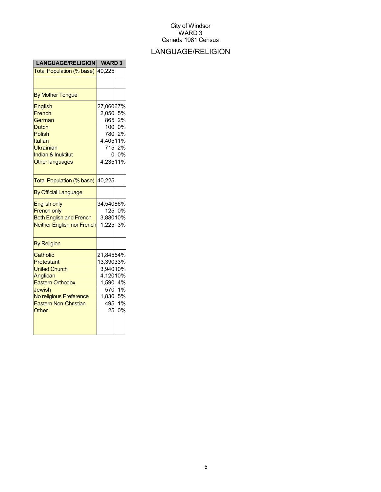## LANGUAGE/RELIGION

| <b>LANGUAGE/RELIGION</b>                                                                                                                                            | <b>WARD3</b>                                                           |                                    |
|---------------------------------------------------------------------------------------------------------------------------------------------------------------------|------------------------------------------------------------------------|------------------------------------|
| Total Population (% base)                                                                                                                                           | 40,225                                                                 |                                    |
|                                                                                                                                                                     |                                                                        |                                    |
| <b>By Mother Tongue</b>                                                                                                                                             |                                                                        |                                    |
| <b>English</b><br>French<br>German<br><b>Dutch</b><br><b>Polish</b><br>Italian<br><b>Ukrainian</b><br><b>Indian &amp; Inuktitut</b><br><b>Other languages</b>       | 27,06067%<br>2,050 5%<br>865<br>4,40511%<br>715<br>4,23511%            | 2%<br>100 0%<br>780 2%<br>2%<br>0% |
| Total Population (% base)                                                                                                                                           | 40,225                                                                 |                                    |
| <b>By Official Language</b>                                                                                                                                         |                                                                        |                                    |
| <b>English only</b><br><b>French only</b><br><b>Both English and French</b><br><b>Neither English nor French</b>                                                    | 34,54086%<br>3,88010%<br>1,225 3%                                      | 125 0%                             |
| <b>By Religion</b>                                                                                                                                                  |                                                                        |                                    |
| Catholic<br>Protestant<br><b>United Church</b><br>Anglican<br><b>Eastern Orthodox</b><br>Jewish<br>No religious Preference<br><b>Eastern Non-Christian</b><br>Other | 21,84554%<br>13,39033%<br>3,94010%<br>4,12010%<br>1,590 4%<br>1,830 5% | 570 1%<br>495 1%<br>25 0%          |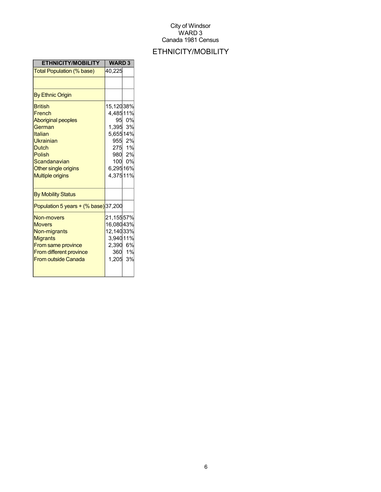## ETHNICITY/MOBILITY

| <b>ETHNICITY/MOBILITY</b>                                                                                                                                                            | <b>WARD3</b>                                                          |                                               |
|--------------------------------------------------------------------------------------------------------------------------------------------------------------------------------------|-----------------------------------------------------------------------|-----------------------------------------------|
| Total Population (% base)                                                                                                                                                            | 40,225                                                                |                                               |
|                                                                                                                                                                                      |                                                                       |                                               |
| <b>By Ethnic Origin</b>                                                                                                                                                              |                                                                       |                                               |
| <b>British</b><br>French<br><b>Aboriginal peoples</b><br>German<br>Italian<br>Ukrainian<br><b>Dutch</b><br>Polish<br>Scandanavian<br>Other single origins<br><b>Multiple origins</b> | 15,12038%<br>4,48511%<br>1,395 3%<br>5,65514%<br>6,29516%<br>4,37511% | 95 0%<br>955 2%<br>275 1%<br>980 2%<br>100 0% |
| <b>By Mobility Status</b>                                                                                                                                                            |                                                                       |                                               |
| Population 5 years $+(%$ base) 37,200                                                                                                                                                |                                                                       |                                               |
| Non-movers<br><b>Movers</b><br>Non-migrants<br><b>Migrants</b><br>From same province<br><b>From different province</b><br><b>From outside Canada</b>                                 | 21,15557%<br>16,08043%<br>12,14033%<br>3,94011%<br>2,390 6%<br>1,205  | 360 1%<br>3%                                  |
|                                                                                                                                                                                      |                                                                       |                                               |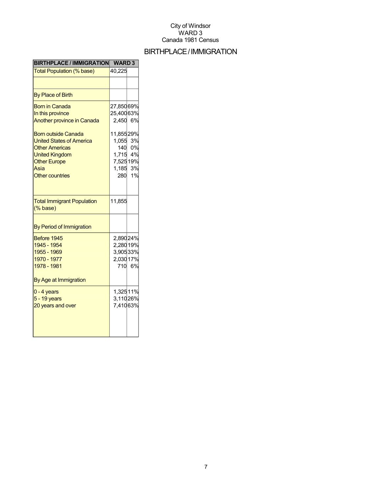## BIRTHPLACE/IMMIGRATION

| <b>BIRTHPLACE / IMMIGRATION</b>                                                                                                                                                                                                                            | <b>WARD3</b>                                                                               |                                      |
|------------------------------------------------------------------------------------------------------------------------------------------------------------------------------------------------------------------------------------------------------------|--------------------------------------------------------------------------------------------|--------------------------------------|
| Total Population (% base)                                                                                                                                                                                                                                  | 40,225                                                                                     |                                      |
|                                                                                                                                                                                                                                                            |                                                                                            |                                      |
| <b>By Place of Birth</b>                                                                                                                                                                                                                                   |                                                                                            |                                      |
| <b>Born in Canada</b><br>In this province<br><b>Another province in Canada</b><br><b>Born outside Canada</b><br><b>United States of America</b><br><b>Other Americas</b><br><b>United Kingdom</b><br><b>Other Europe</b><br>Asia<br><b>Other countries</b> | 27,85069%<br>25,40063%<br>2,450<br>11,85529%<br>1,055<br>140<br>1,715<br>7,52519%<br>1,185 | 6%<br>3%<br>0%<br>4%<br>3%<br>280 1% |
| <b>Total Immigrant Population</b><br>$(% \mathcal{L}^{\prime }\mathcal{L}^{\prime })$ (% base)                                                                                                                                                             | 11,855                                                                                     |                                      |
| By Period of Immigration                                                                                                                                                                                                                                   |                                                                                            |                                      |
| Before 1945<br>1945 - 1954<br>1955 - 1969<br>1970 - 1977<br>1978 - 1981                                                                                                                                                                                    | 2,890 24%<br>2,280 19%<br>3,90533%<br>2,03017%<br>710                                      | 6%                                   |
| By Age at Immigration                                                                                                                                                                                                                                      |                                                                                            |                                      |
| $0 - 4$ years<br>5 - 19 years<br>20 years and over                                                                                                                                                                                                         | 1,32511%<br>3,11026%<br>7,41063%                                                           |                                      |
|                                                                                                                                                                                                                                                            |                                                                                            |                                      |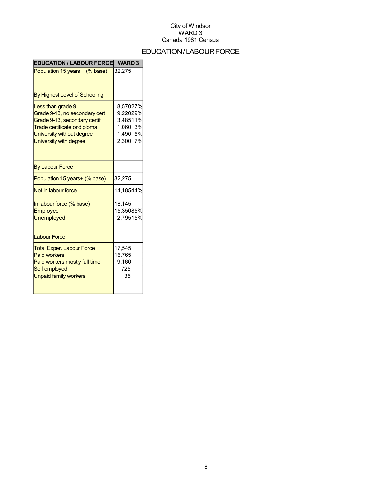## EDUCATION/LABOURFORCE

| <b>EDUCATION / LABOUR FORCE</b>                                                                                                                                            | <b>WARD 3</b>                                                        |  |
|----------------------------------------------------------------------------------------------------------------------------------------------------------------------------|----------------------------------------------------------------------|--|
| Population 15 years + (% base)                                                                                                                                             | 32,275                                                               |  |
|                                                                                                                                                                            |                                                                      |  |
| By Highest Level of Schooling                                                                                                                                              |                                                                      |  |
| Less than grade 9<br>Grade 9-13, no secondary cert<br>Grade 9-13, secondary certif.<br>Trade certificate or diploma<br>University without degree<br>University with degree | 8,57027%<br>9,22029%<br>3,48511%<br>1,060 3%<br>1,490 5%<br>2,300 7% |  |
| <b>By Labour Force</b>                                                                                                                                                     |                                                                      |  |
| Population 15 years+ (% base)                                                                                                                                              | 32,275                                                               |  |
| Not in labour force                                                                                                                                                        | 14,18544%                                                            |  |
| In labour force (% base)<br>Employed<br><b>Unemployed</b>                                                                                                                  | 18,145<br>15,35085%<br>2,79515%                                      |  |
| <b>Labour Force</b>                                                                                                                                                        |                                                                      |  |
| <b>Total Exper. Labour Force</b><br><b>Paid workers</b><br>Paid workers mostly full time<br>Self employed<br><b>Unpaid family workers</b>                                  | 17,545<br>16,765<br>9,160<br>725<br>35                               |  |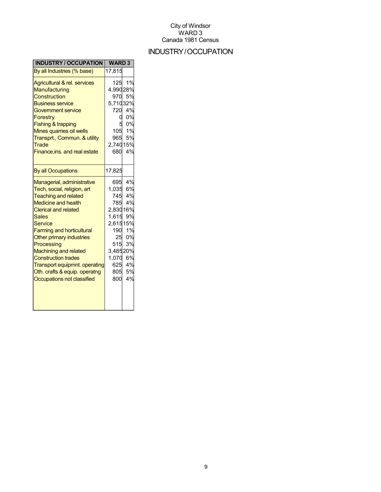## INDUSTRY/OCCUPATION

| <b>INDUSTRY / OCCUPATION</b>                                                                                                                                                                                                                                                                                                                                                                                                               | <b>WARD3</b>                                                                                                          |                                                                    |
|--------------------------------------------------------------------------------------------------------------------------------------------------------------------------------------------------------------------------------------------------------------------------------------------------------------------------------------------------------------------------------------------------------------------------------------------|-----------------------------------------------------------------------------------------------------------------------|--------------------------------------------------------------------|
| By all Industries (% base)                                                                                                                                                                                                                                                                                                                                                                                                                 | 17,815                                                                                                                |                                                                    |
| Agricultural & rel. services<br>Manufacturing<br>Construction<br><b>Business service</b><br><b>Government service</b><br><b>Forestry</b><br><b>Fishing &amp; trapping</b><br>Mines quarries oil wells<br>Transprt., Commun. & utility<br>Trade<br>Finance, ins. and real estate                                                                                                                                                            | 125<br>4,99028%<br>970<br>5,71032%<br>720<br>O<br>105<br>965<br>2,74015%<br>680                                       | 1%<br>5%<br>4%<br>0%<br>0%<br>1%<br>5%<br>4%                       |
| <b>By all Occupations</b>                                                                                                                                                                                                                                                                                                                                                                                                                  | 17,825                                                                                                                |                                                                    |
| Managerial, administrative<br>Tech, social, religion, art<br><b>Teaching and related</b><br><b>Medicine and health</b><br><b>Clerical and related</b><br><b>Sales</b><br><b>Service</b><br><b>Farming and horticultural</b><br>Other primary industries<br>Processing<br><b>Machining and related</b><br><b>Construction trades</b><br><b>Transport equipmnt. operating</b><br>Oth. crafts & equip. operatng<br>Occupations not classified | 1,035 6%<br>745<br>785<br>2,83016%<br>1,615<br>2,61515%<br>190<br>25<br>515<br>3,48520%<br>1,070<br>625<br>805<br>800 | 695 4%<br>4%<br>4%<br>9%<br>1%<br>0%<br>3%<br>6%<br>4%<br>5%<br>4% |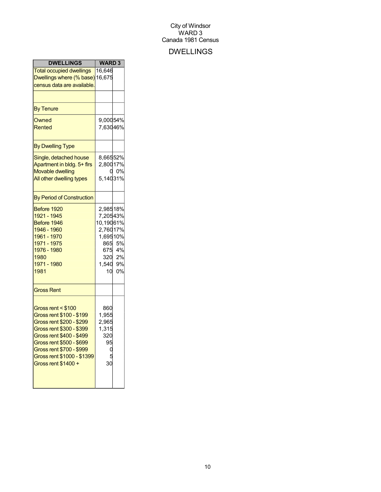## DWELLINGS

| <b>DWELLINGS</b>                                                                                                                                                                                                                                | <b>WARD3</b>                                                                       |                              |
|-------------------------------------------------------------------------------------------------------------------------------------------------------------------------------------------------------------------------------------------------|------------------------------------------------------------------------------------|------------------------------|
| <b>Total occupied dwellings</b><br>Dwellings where (% base) 16,675<br>census data are available.                                                                                                                                                | 16,646                                                                             |                              |
| <b>By Tenure</b>                                                                                                                                                                                                                                |                                                                                    |                              |
| Owned<br>Rented                                                                                                                                                                                                                                 | 9,00054%<br>7,63046%                                                               |                              |
| <b>By Dwelling Type</b>                                                                                                                                                                                                                         |                                                                                    |                              |
| Single, detached house<br>Apartment in bldg. 5+ firs<br><b>Movable dwelling</b><br>All other dwelling types                                                                                                                                     | 8,66552%<br>2,80017%<br>5,14031%                                                   | 0%                           |
| <b>By Period of Construction</b>                                                                                                                                                                                                                |                                                                                    |                              |
| Before 1920<br>1921 - 1945<br>Before 1946<br>1946 - 1960<br>1961 - 1970<br>1971 - 1975<br>1976 - 1980<br>1980<br>1971 - 1980<br>1981                                                                                                            | 2,98518%<br>7,20543%<br>10,19061%<br>2,76017%<br>1,69510%<br>865<br>1,540 9%<br>10 | 5%<br>675 4%<br>320 2%<br>0% |
| <b>Gross Rent</b>                                                                                                                                                                                                                               |                                                                                    |                              |
| Gross rent < \$100<br>Gross rent \$100 - \$199<br>Gross rent \$200 - \$299<br>Gross rent \$300 - \$399<br>Gross rent \$400 - \$499<br>Gross rent \$500 - \$699<br>Gross rent \$700 - \$999<br>Gross rent \$1000 - \$1399<br>Gross rent \$1400 + | 860<br>1,955<br>2,965<br>1,315<br>320<br>95<br>30                                  |                              |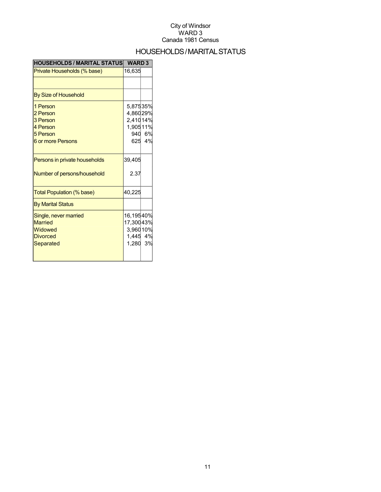## HOUSEHOLDS/MARITALSTATUS

| <b>HOUSEHOLDS / MARITAL STATUS</b>                                                   | <b>WARD 3</b>                                           |                  |
|--------------------------------------------------------------------------------------|---------------------------------------------------------|------------------|
| Private Households (% base)                                                          | 16,635                                                  |                  |
|                                                                                      |                                                         |                  |
| By Size of Household                                                                 |                                                         |                  |
| 1 Person<br>2 Person<br>3 Person<br>4 Person<br>5 Person<br><b>6 or more Persons</b> | 5,87535%<br>4,86029%<br>2,41014%<br>1,90511%            | 940 6%<br>625 4% |
| Persons in private households<br>Number of persons/household                         | 39,405<br>2.37                                          |                  |
| Total Population (% base)                                                            | 40,225                                                  |                  |
| <b>By Marital Status</b>                                                             |                                                         |                  |
| Single, never married<br><b>Married</b><br>Widowed<br><b>Divorced</b><br>Separated   | 16,19540%<br>17,30043%<br>3,96010%<br>1,445 4%<br>1,280 | 3%               |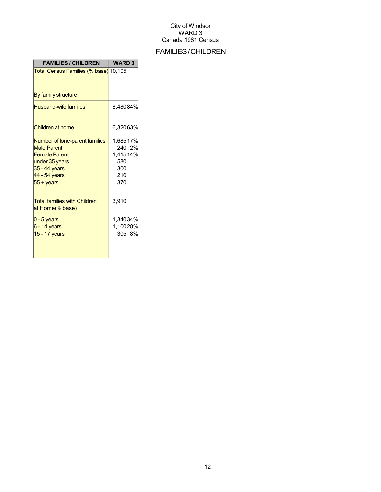## FAMILIES/CHILDREN

| <b>FAMILIES / CHILDREN</b>                                                                                                                                | <b>WARD3</b>                                     |        |
|-----------------------------------------------------------------------------------------------------------------------------------------------------------|--------------------------------------------------|--------|
| Total Census Families (% base) 10,105                                                                                                                     |                                                  |        |
|                                                                                                                                                           |                                                  |        |
| By family structure                                                                                                                                       |                                                  |        |
| <b>Husband-wife families</b>                                                                                                                              | 8,48084%                                         |        |
| Children at home                                                                                                                                          | 6,32063%                                         |        |
| Number of lone-parent families<br><b>Male Parent</b><br><b>Female Parent</b><br>under 35 years<br>35 - 44 years<br>44 - 54 years<br>$55 + \mathrm{years}$ | 1,68517%<br>1,41514%<br>580<br>300<br>210<br>370 | 240 2% |
| <b>Total families with Children</b><br>at Home(% base)                                                                                                    | 3,910                                            |        |
| $0 - 5$ years<br>$6 - 14$ years<br>15 - 17 years                                                                                                          | 1,34034%<br>1,10028%                             | 305 8% |